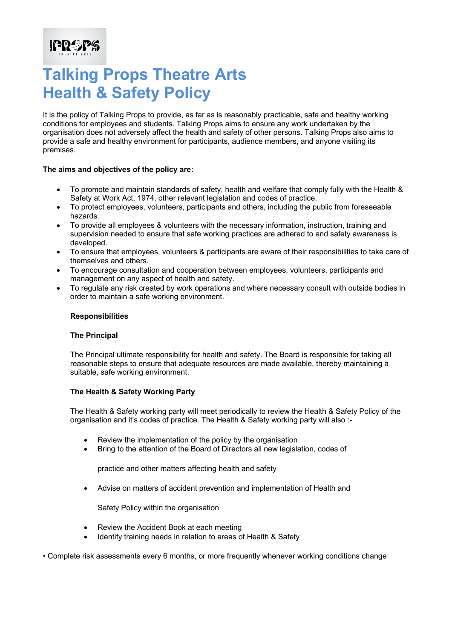It is the policy of Talking Props to provide, as far as is reasonably practicable, safe and healthy working conditions for employees and students. Talking Props aims to ensure any work undertaken by the organisation does not adversely affect the health and safety of other persons. Talking Props also aims to provide a safe and healthy environment for participants, audience members, and anyone visiting its premises.

#### **The aims and objectives of the policy are:**

**FRAPS** 

- To promote and maintain standards of safety, health and welfare that comply fully with the Health & Safety at Work Act, 1974, other relevant legislation and codes of practice.
- To protect employees, volunteers, participants and others, including the public from foreseeable hazards.
- To provide all employees & volunteers with the necessary information, instruction, training and supervision needed to ensure that safe working practices are adhered to and safety awareness is developed.
- To ensure that employees, volunteers & participants are aware of their responsibilities to take care of themselves and others.
- To encourage consultation and cooperation between employees, volunteers, participants and management on any aspect of health and safety.
- To regulate any risk created by work operations and where necessary consult with outside bodies in order to maintain a safe working environment.

#### **Responsibilities**

#### **The Principal**

The Principal ultimate responsibility for health and safety. The Board is responsible for taking all reasonable steps to ensure that adequate resources are made available, thereby maintaining a suitable, safe working environment.

#### **The Health & Safety Working Party**

The Health & Safety working party will meet periodically to review the Health & Safety Policy of the organisation and it's codes of practice. The Health & Safety working party will also :-

- Review the implementation of the policy by the organisation
- Bring to the attention of the Board of Directors all new legislation, codes of

practice and other matters affecting health and safety

• Advise on matters of accident prevention and implementation of Health and

Safety Policy within the organisation

- Review the Accident Book at each meeting
- Identify training needs in relation to areas of Health & Safety

• Complete risk assessments every 6 months, or more frequently whenever working conditions change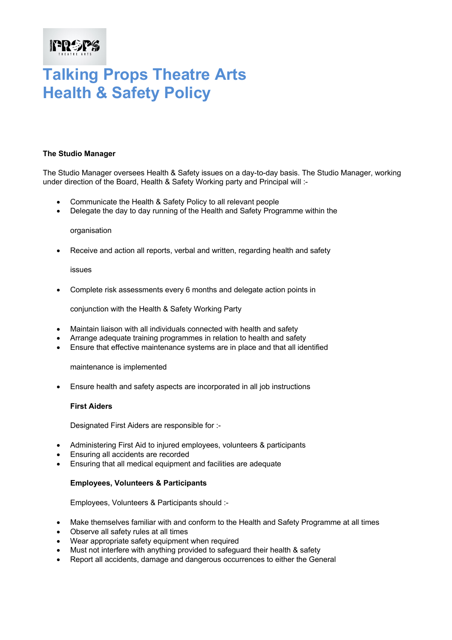### **IPROPS**

### **Talking Props Theatre Arts Health & Safety Policy**

#### **The Studio Manager**

The Studio Manager oversees Health & Safety issues on a day-to-day basis. The Studio Manager, working under direction of the Board, Health & Safety Working party and Principal will :-

- Communicate the Health & Safety Policy to all relevant people
- Delegate the day to day running of the Health and Safety Programme within the

#### organisation

• Receive and action all reports, verbal and written, regarding health and safety

#### issues

• Complete risk assessments every 6 months and delegate action points in

conjunction with the Health & Safety Working Party

- Maintain liaison with all individuals connected with health and safety
- Arrange adequate training programmes in relation to health and safety
- Ensure that effective maintenance systems are in place and that all identified

maintenance is implemented

• Ensure health and safety aspects are incorporated in all job instructions

#### **First Aiders**

Designated First Aiders are responsible for :-

- Administering First Aid to injured employees, volunteers & participants
- Ensuring all accidents are recorded
- Ensuring that all medical equipment and facilities are adequate

#### **Employees, Volunteers & Participants**

Employees, Volunteers & Participants should :-

- Make themselves familiar with and conform to the Health and Safety Programme at all times
- Observe all safety rules at all times
- Wear appropriate safety equipment when required
- Must not interfere with anything provided to safeguard their health & safety
- Report all accidents, damage and dangerous occurrences to either the General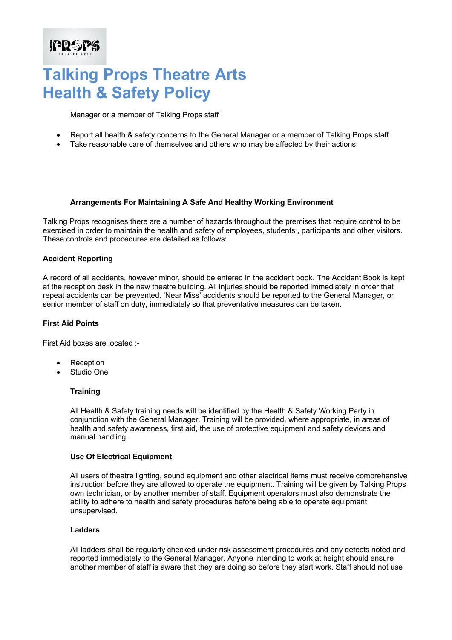Manager or a member of Talking Props staff

- Report all health & safety concerns to the General Manager or a member of Talking Props staff
- Take reasonable care of themselves and others who may be affected by their actions

#### **Arrangements For Maintaining A Safe And Healthy Working Environment**

Talking Props recognises there are a number of hazards throughout the premises that require control to be exercised in order to maintain the health and safety of employees, students , participants and other visitors. These controls and procedures are detailed as follows:

#### **Accident Reporting**

**FRAPS** 

A record of all accidents, however minor, should be entered in the accident book. The Accident Book is kept at the reception desk in the new theatre building. All injuries should be reported immediately in order that repeat accidents can be prevented. 'Near Miss' accidents should be reported to the General Manager, or senior member of staff on duty, immediately so that preventative measures can be taken.

#### **First Aid Points**

First Aid boxes are located :-

- Reception
- Studio One

#### **Training**

All Health & Safety training needs will be identified by the Health & Safety Working Party in conjunction with the General Manager. Training will be provided, where appropriate, in areas of health and safety awareness, first aid, the use of protective equipment and safety devices and manual handling.

#### **Use Of Electrical Equipment**

All users of theatre lighting, sound equipment and other electrical items must receive comprehensive instruction before they are allowed to operate the equipment. Training will be given by Talking Props own technician, or by another member of staff. Equipment operators must also demonstrate the ability to adhere to health and safety procedures before being able to operate equipment unsupervised.

#### **Ladders**

All ladders shall be regularly checked under risk assessment procedures and any defects noted and reported immediately to the General Manager. Anyone intending to work at height should ensure another member of staff is aware that they are doing so before they start work. Staff should not use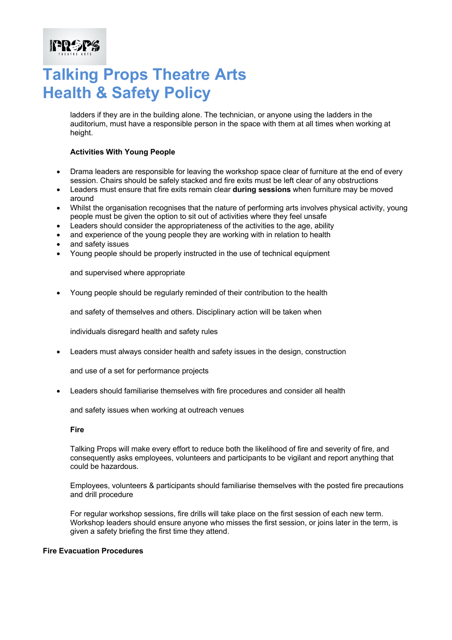ladders if they are in the building alone. The technician, or anyone using the ladders in the auditorium, must have a responsible person in the space with them at all times when working at height.

#### **Activities With Young People**

- Drama leaders are responsible for leaving the workshop space clear of furniture at the end of every session. Chairs should be safely stacked and fire exits must be left clear of any obstructions
- Leaders must ensure that fire exits remain clear **during sessions** when furniture may be moved around
- Whilst the organisation recognises that the nature of performing arts involves physical activity, young people must be given the option to sit out of activities where they feel unsafe
- Leaders should consider the appropriateness of the activities to the age, ability
- and experience of the young people they are working with in relation to health
- and safety issues

**FROPS** 

• Young people should be properly instructed in the use of technical equipment

and supervised where appropriate

• Young people should be regularly reminded of their contribution to the health

and safety of themselves and others. Disciplinary action will be taken when

individuals disregard health and safety rules

• Leaders must always consider health and safety issues in the design, construction

and use of a set for performance projects

• Leaders should familiarise themselves with fire procedures and consider all health

and safety issues when working at outreach venues

**Fire** 

Talking Props will make every effort to reduce both the likelihood of fire and severity of fire, and consequently asks employees, volunteers and participants to be vigilant and report anything that could be hazardous.

Employees, volunteers & participants should familiarise themselves with the posted fire precautions and drill procedure

For regular workshop sessions, fire drills will take place on the first session of each new term. Workshop leaders should ensure anyone who misses the first session, or joins later in the term, is given a safety briefing the first time they attend.

#### **Fire Evacuation Procedures**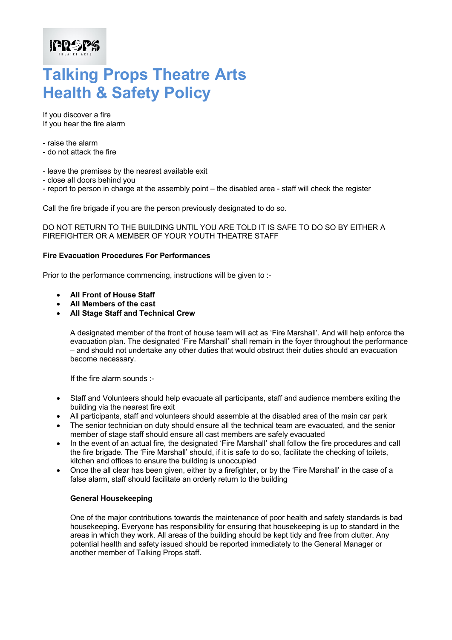If you discover a fire If you hear the fire alarm

- raise the alarm

**FRAPS** 

- do not attack the fire
- leave the premises by the nearest available exit
- close all doors behind you
- report to person in charge at the assembly point the disabled area staff will check the register

Call the fire brigade if you are the person previously designated to do so.

DO NOT RETURN TO THE BUILDING UNTIL YOU ARE TOLD IT IS SAFE TO DO SO BY EITHER A FIREFIGHTER OR A MEMBER OF YOUR YOUTH THEATRE STAFF

#### **Fire Evacuation Procedures For Performances**

Prior to the performance commencing, instructions will be given to :-

- **All Front of House Staff**
- **All Members of the cast**
- **All Stage Staff and Technical Crew**

A designated member of the front of house team will act as 'Fire Marshall'. And will help enforce the evacuation plan. The designated 'Fire Marshall' shall remain in the foyer throughout the performance – and should not undertake any other duties that would obstruct their duties should an evacuation become necessary.

If the fire alarm sounds :-

- Staff and Volunteers should help evacuate all participants, staff and audience members exiting the building via the nearest fire exit
- All participants, staff and volunteers should assemble at the disabled area of the main car park
- The senior technician on duty should ensure all the technical team are evacuated, and the senior member of stage staff should ensure all cast members are safely evacuated
- In the event of an actual fire, the designated 'Fire Marshall' shall follow the fire procedures and call the fire brigade. The 'Fire Marshall' should, if it is safe to do so, facilitate the checking of toilets, kitchen and offices to ensure the building is unoccupied
- Once the all clear has been given, either by a firefighter, or by the 'Fire Marshall' in the case of a false alarm, staff should facilitate an orderly return to the building

#### **General Housekeeping**

One of the major contributions towards the maintenance of poor health and safety standards is bad housekeeping. Everyone has responsibility for ensuring that housekeeping is up to standard in the areas in which they work. All areas of the building should be kept tidy and free from clutter. Any potential health and safety issued should be reported immediately to the General Manager or another member of Talking Props staff.